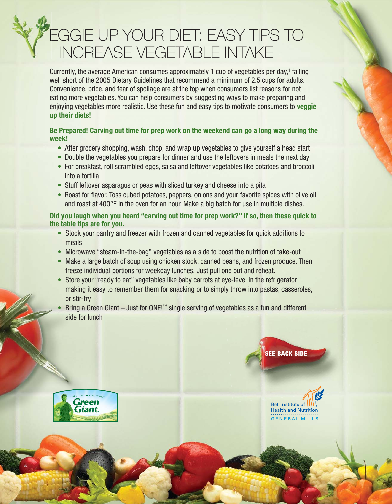# **FEGGIE UP YOUR DIET: EASY TIPS TO** INCREASE VEGETABLE INTAKE

Currently, the average American consumes approximately 1 cup of vegetables per day,<sup>1</sup> falling well short of the 2005 Dietary Guidelines that recommend a minimum of 2.5 cups for adults. Convenience, price, and fear of spoilage are at the top when consumers list reasons for not eating more vegetables. You can help consumers by suggesting ways to make preparing and enjoying vegetables more realistic. Use these fun and easy tips to motivate consumers to **veggie up their diets!**

## **Be Prepared! Carving out time for prep work on the weekend can go a long way during the week!**

- After grocery shopping, wash, chop, and wrap up vegetables to give yourself a head start
- Double the vegetables you prepare for dinner and use the leftovers in meals the next day
- For breakfast, roll scrambled eggs, salsa and leftover vegetables like potatoes and broccoli into a tortilla
- Stuff leftover asparagus or peas with sliced turkey and cheese into a pita
- Roast for flavor. Toss cubed potatoes, peppers, onions and your favorite spices with olive oil and roast at 400°F in the oven for an hour. Make a big batch for use in multiple dishes.

**Did you laugh when you heard "carving out time for prep work?" If so, then these quick to the table tips are for you.**

- Stock your pantry and freezer with frozen and canned vegetables for quick additions to meals
- Microwave "steam-in-the-bag" vegetables as a side to boost the nutrition of take-out
- Make a large batch of soup using chicken stock, canned beans, and frozen produce. Then freeze individual portions for weekday lunches. Just pull one out and reheat.
- Store your "ready to eat" vegetables like baby carrots at eye-level in the refrigerator making it easy to remember them for snacking or to simply throw into pastas, casseroles, or stir-fry
- Bring a Green Giant Just for ONE!™ single serving of vegetables as a fun and different side for lunch



**SEE BACK SIDE**

Bell Institute of

**Health and Nutrition GENERAL MILLS**